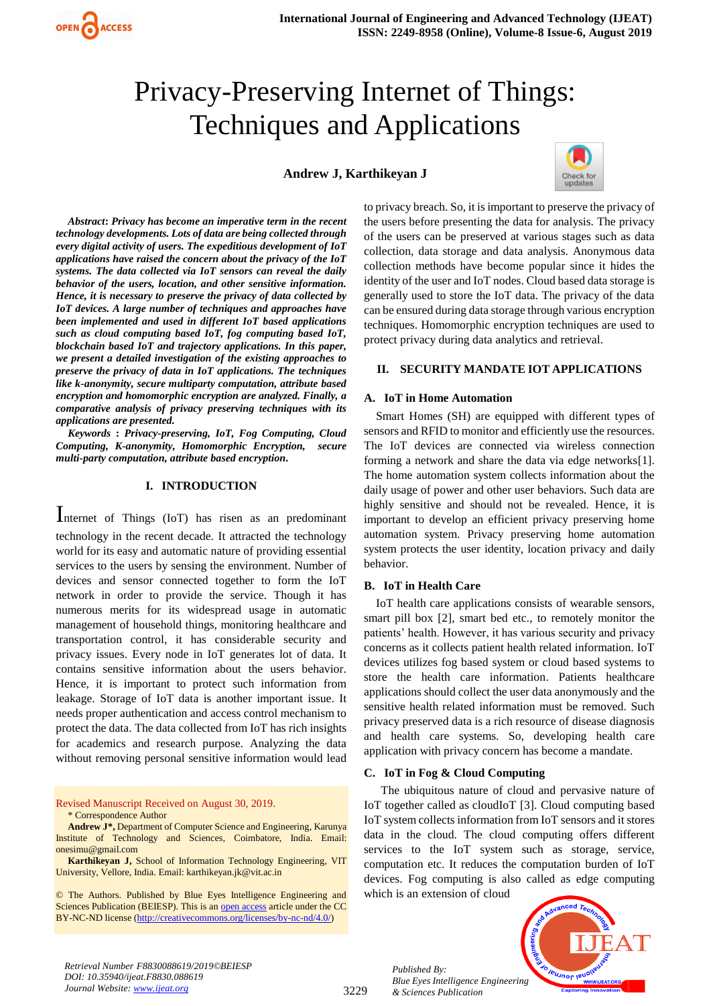# Privacy-Preserving Internet of Things: Techniques and Applications

# **Andrew J, Karthikeyan J**



*Abstract***:** *Privacy has become an imperative term in the recent technology developments. Lots of data are being collected through every digital activity of users. The expeditious development of IoT applications have raised the concern about the privacy of the IoT systems. The data collected via IoT sensors can reveal the daily behavior of the users, location, and other sensitive information. Hence, it is necessary to preserve the privacy of data collected by IoT devices. A large number of techniques and approaches have been implemented and used in different IoT based applications such as cloud computing based IoT, fog computing based IoT, blockchain based IoT and trajectory applications. In this paper, we present a detailed investigation of the existing approaches to preserve the privacy of data in IoT applications. The techniques like k-anonymity, secure multiparty computation, attribute based encryption and homomorphic encryption are analyzed. Finally, a comparative analysis of privacy preserving techniques with its applications are presented.*

*Keywords* **:** *Privacy-preserving, IoT, Fog Computing, Cloud Computing, K-anonymity, Homomorphic Encryption, secure multi-party computation, attribute based encryption.* 

## **I. INTRODUCTION**

Internet of Things (IoT) has risen as an predominant technology in the recent decade. It attracted the technology world for its easy and automatic nature of providing essential services to the users by sensing the environment. Number of devices and sensor connected together to form the IoT network in order to provide the service. Though it has numerous merits for its widespread usage in automatic management of household things, monitoring healthcare and transportation control, it has considerable security and privacy issues. Every node in IoT generates lot of data. It contains sensitive information about the users behavior. Hence, it is important to protect such information from leakage. Storage of IoT data is another important issue. It needs proper authentication and access control mechanism to protect the data. The data collected from IoT has rich insights for academics and research purpose. Analyzing the data without removing personal sensitive information would lead

Revised Manuscript Received on August 30, 2019. \* Correspondence Author

**Andrew J\*,** Department of Computer Science and Engineering, Karunya Institute of Technology and Sciences, Coimbatore, India. Email: onesimu@gmail.com

**Karthikeyan J,** School of Information Technology Engineering, VIT University, Vellore, India. Email: karthikeyan.jk@vit.ac.in

© The Authors. Published by Blue Eyes Intelligence Engineering and Sciences Publication (BEIESP). This is an [open access](https://www.openaccess.nl/en/open-publications) article under the CC BY-NC-ND license [\(http://creativecommons.org/licenses/by-nc-nd/4.0/\)](http://creativecommons.org/licenses/by-nc-nd/4.0/)

to privacy breach. So, it is important to preserve the privacy of the users before presenting the data for analysis. The privacy of the users can be preserved at various stages such as data collection, data storage and data analysis. Anonymous data collection methods have become popular since it hides the identity of the user and IoT nodes. Cloud based data storage is generally used to store the IoT data. The privacy of the data can be ensured during data storage through various encryption techniques. Homomorphic encryption techniques are used to protect privacy during data analytics and retrieval.

## **II. SECURITY MANDATE IOT APPLICATIONS**

## **A. IoT in Home Automation**

Smart Homes (SH) are equipped with different types of sensors and RFID to monitor and efficiently use the resources. The IoT devices are connected via wireless connection forming a network and share the data via edge networks[1]. The home automation system collects information about the daily usage of power and other user behaviors. Such data are highly sensitive and should not be revealed. Hence, it is important to develop an efficient privacy preserving home automation system. Privacy preserving home automation system protects the user identity, location privacy and daily behavior.

## **B. IoT in Health Care**

IoT health care applications consists of wearable sensors, smart pill box [2], smart bed etc., to remotely monitor the patients' health. However, it has various security and privacy concerns as it collects patient health related information. IoT devices utilizes fog based system or cloud based systems to store the health care information. Patients healthcare applications should collect the user data anonymously and the sensitive health related information must be removed. Such privacy preserved data is a rich resource of disease diagnosis and health care systems. So, developing health care application with privacy concern has become a mandate.

## **C. IoT in Fog & Cloud Computing**

The ubiquitous nature of cloud and pervasive nature of IoT together called as cloudIoT [3]. Cloud computing based IoT system collects information from IoT sensors and it stores data in the cloud. The cloud computing offers different services to the IoT system such as storage, service, computation etc. It reduces the computation burden of IoT devices. Fog computing is also called as edge computing which is an extension of cloud



*Retrieval Number F8830088619/2019©BEIESP DOI: 10.35940/ijeat.F8830.088619 Journal Website: www.ijeat.org*

*Published By: Blue Eyes Intelligence Engineering & Sciences Publication*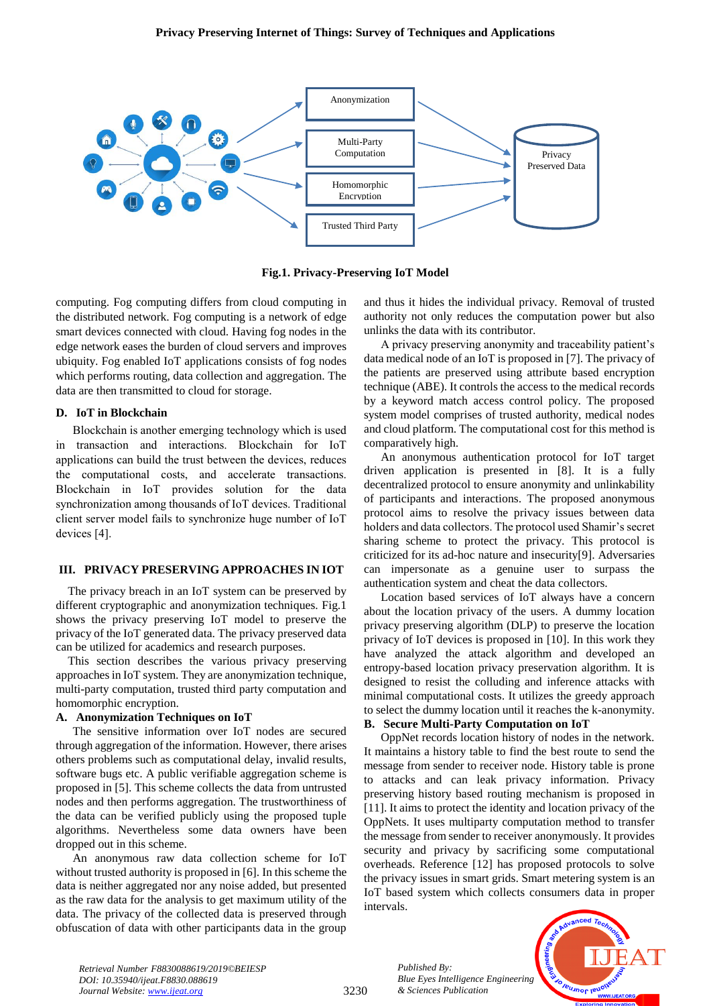

**Fig.1. Privacy-Preserving IoT Model**

computing. Fog computing differs from cloud computing in the distributed network. Fog computing is a network of edge smart devices connected with cloud. Having fog nodes in the edge network eases the burden of cloud servers and improves ubiquity. Fog enabled IoT applications consists of fog nodes which performs routing, data collection and aggregation. The data are then transmitted to cloud for storage.

## **D. IoT in Blockchain**

Blockchain is another emerging technology which is used in transaction and interactions. Blockchain for IoT applications can build the trust between the devices, reduces the computational costs, and accelerate transactions. Blockchain in IoT provides solution for the data synchronization among thousands of IoT devices. Traditional client server model fails to synchronize huge number of IoT devices [4].

## **III. PRIVACY PRESERVING APPROACHES IN IOT**

The privacy breach in an IoT system can be preserved by different cryptographic and anonymization techniques. Fig.1 shows the privacy preserving IoT model to preserve the privacy of the IoT generated data. The privacy preserved data can be utilized for academics and research purposes.

This section describes the various privacy preserving approaches in IoT system. They are anonymization technique, multi-party computation, trusted third party computation and homomorphic encryption.

# **A. Anonymization Techniques on IoT**

The sensitive information over IoT nodes are secured through aggregation of the information. However, there arises others problems such as computational delay, invalid results, software bugs etc. A public verifiable aggregation scheme is proposed in [5]. This scheme collects the data from untrusted nodes and then performs aggregation. The trustworthiness of the data can be verified publicly using the proposed tuple algorithms. Nevertheless some data owners have been dropped out in this scheme.

An anonymous raw data collection scheme for IoT without trusted authority is proposed in [6]. In this scheme the data is neither aggregated nor any noise added, but presented as the raw data for the analysis to get maximum utility of the data. The privacy of the collected data is preserved through obfuscation of data with other participants data in the group

and thus it hides the individual privacy. Removal of trusted authority not only reduces the computation power but also unlinks the data with its contributor.

A privacy preserving anonymity and traceability patient's data medical node of an IoT is proposed in [7]. The privacy of the patients are preserved using attribute based encryption technique (ABE). It controls the access to the medical records by a keyword match access control policy. The proposed system model comprises of trusted authority, medical nodes and cloud platform. The computational cost for this method is comparatively high.

An anonymous authentication protocol for IoT target driven application is presented in [8]. It is a fully decentralized protocol to ensure anonymity and unlinkability of participants and interactions. The proposed anonymous protocol aims to resolve the privacy issues between data holders and data collectors. The protocol used Shamir's secret sharing scheme to protect the privacy. This protocol is criticized for its ad-hoc nature and insecurity[9]. Adversaries can impersonate as a genuine user to surpass the authentication system and cheat the data collectors.

Location based services of IoT always have a concern about the location privacy of the users. A dummy location privacy preserving algorithm (DLP) to preserve the location privacy of IoT devices is proposed in [10]. In this work they have analyzed the attack algorithm and developed an entropy-based location privacy preservation algorithm. It is designed to resist the colluding and inference attacks with minimal computational costs. It utilizes the greedy approach to select the dummy location until it reaches the k-anonymity.

# **B. Secure Multi-Party Computation on IoT**

OppNet records location history of nodes in the network. It maintains a history table to find the best route to send the message from sender to receiver node. History table is prone to attacks and can leak privacy information. Privacy preserving history based routing mechanism is proposed in [11]. It aims to protect the identity and location privacy of the OppNets. It uses multiparty computation method to transfer the message from sender to receiver anonymously. It provides security and privacy by sacrificing some computational overheads. Reference [12] has proposed protocols to solve the privacy issues in smart grids. Smart metering system is an IoT based system which collects consumers data in proper intervals.

> *Blue Eyes Intelligence Engineering & Sciences Publication*

*Retrieval Number F8830088619/2019©BEIESP DOI: 10.35940/ijeat.F8830.088619 Journal Website: www.ijeat.org*

3230

*Published By:*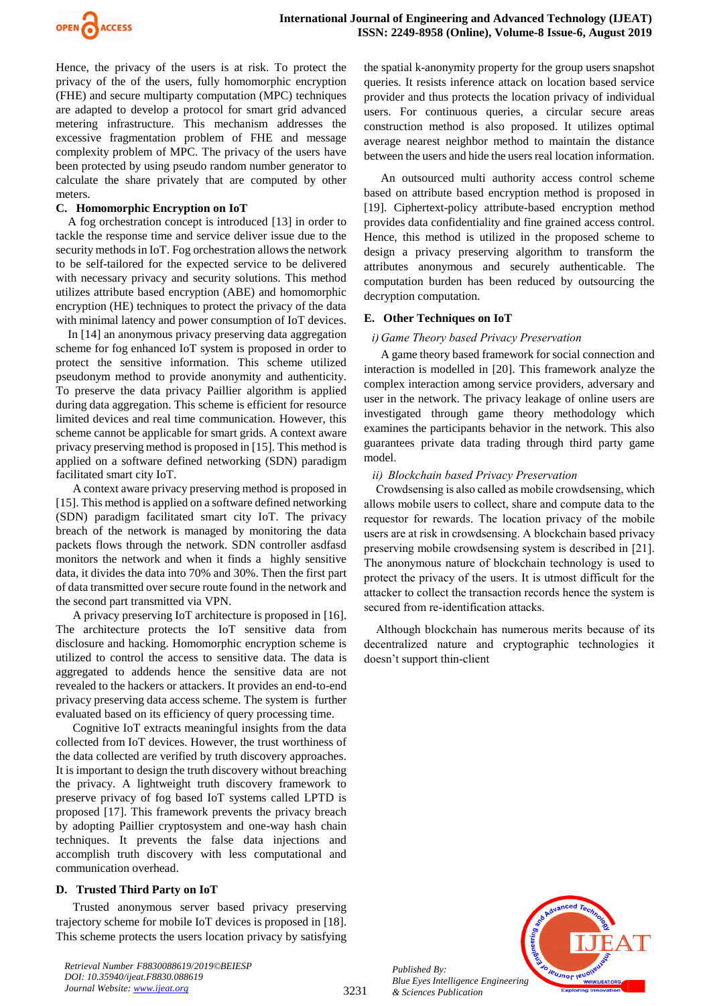

Hence, the privacy of the users is at risk. To protect the privacy of the of the users, fully homomorphic encryption (FHE) and secure multiparty computation (MPC) techniques are adapted to develop a protocol for smart grid advanced metering infrastructure. This mechanism addresses the excessive fragmentation problem of FHE and message complexity problem of MPC. The privacy of the users have been protected by using pseudo random number generator to calculate the share privately that are computed by other meters.

## **C. Homomorphic Encryption on IoT**

A fog orchestration concept is introduced [13] in order to tackle the response time and service deliver issue due to the security methods in IoT. Fog orchestration allows the network to be self-tailored for the expected service to be delivered with necessary privacy and security solutions. This method utilizes attribute based encryption (ABE) and homomorphic encryption (HE) techniques to protect the privacy of the data with minimal latency and power consumption of IoT devices.

In [14] an anonymous privacy preserving data aggregation scheme for fog enhanced IoT system is proposed in order to protect the sensitive information. This scheme utilized pseudonym method to provide anonymity and authenticity. To preserve the data privacy Paillier algorithm is applied during data aggregation. This scheme is efficient for resource limited devices and real time communication. However, this scheme cannot be applicable for smart grids. A context aware privacy preserving method is proposed in [15]. This method is applied on a software defined networking (SDN) paradigm facilitated smart city IoT.

A context aware privacy preserving method is proposed in [15]. This method is applied on a software defined networking (SDN) paradigm facilitated smart city IoT. The privacy breach of the network is managed by monitoring the data packets flows through the network. SDN controller asdfasd monitors the network and when it finds a highly sensitive data, it divides the data into 70% and 30%. Then the first part of data transmitted over secure route found in the network and the second part transmitted via VPN.

A privacy preserving IoT architecture is proposed in [16]. The architecture protects the IoT sensitive data from disclosure and hacking. Homomorphic encryption scheme is utilized to control the access to sensitive data. The data is aggregated to addends hence the sensitive data are not revealed to the hackers or attackers. It provides an end-to-end privacy preserving data access scheme. The system is further evaluated based on its efficiency of query processing time.

Cognitive IoT extracts meaningful insights from the data collected from IoT devices. However, the trust worthiness of the data collected are verified by truth discovery approaches. It is important to design the truth discovery without breaching the privacy. A lightweight truth discovery framework to preserve privacy of fog based IoT systems called LPTD is proposed [17]. This framework prevents the privacy breach by adopting Paillier cryptosystem and one-way hash chain techniques. It prevents the false data injections and accomplish truth discovery with less computational and communication overhead.

# **D. Trusted Third Party on IoT**

Trusted anonymous server based privacy preserving trajectory scheme for mobile IoT devices is proposed in [18]. This scheme protects the users location privacy by satisfying

*Retrieval Number F8830088619/2019©BEIESP DOI: 10.35940/ijeat.F8830.088619 Journal Website: www.ijeat.org*

the spatial k-anonymity property for the group users snapshot queries. It resists inference attack on location based service provider and thus protects the location privacy of individual users. For continuous queries, a circular secure areas construction method is also proposed. It utilizes optimal average nearest neighbor method to maintain the distance between the users and hide the users real location information.

An outsourced multi authority access control scheme based on attribute based encryption method is proposed in [19]. Ciphertext-policy attribute-based encryption method provides data confidentiality and fine grained access control. Hence, this method is utilized in the proposed scheme to design a privacy preserving algorithm to transform the attributes anonymous and securely authenticable. The computation burden has been reduced by outsourcing the decryption computation.

## **E. Other Techniques on IoT**

## *i) Game Theory based Privacy Preservation*

A game theory based framework for social connection and interaction is modelled in [20]. This framework analyze the complex interaction among service providers, adversary and user in the network. The privacy leakage of online users are investigated through game theory methodology which examines the participants behavior in the network. This also guarantees private data trading through third party game model.

## *ii) Blockchain based Privacy Preservation*

Crowdsensing is also called as mobile crowdsensing, which allows mobile users to collect, share and compute data to the requestor for rewards. The location privacy of the mobile users are at risk in crowdsensing. A blockchain based privacy preserving mobile crowdsensing system is described in [21]. The anonymous nature of blockchain technology is used to protect the privacy of the users. It is utmost difficult for the attacker to collect the transaction records hence the system is secured from re-identification attacks.

Although blockchain has numerous merits because of its decentralized nature and cryptographic technologies it doesn't support thin-client



3231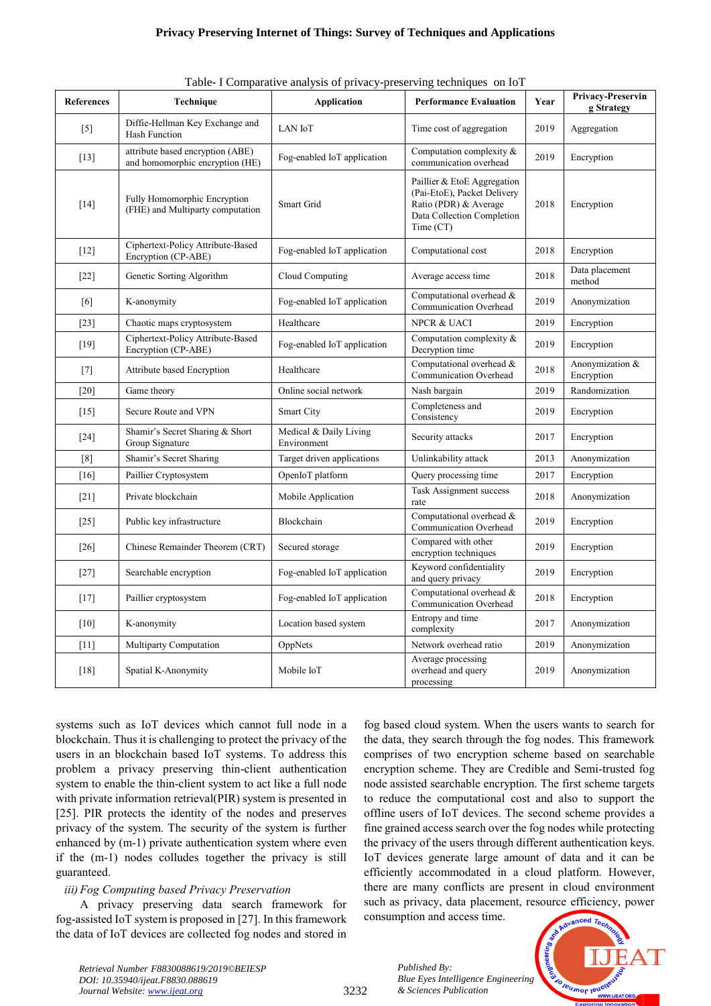## **Privacy Preserving Internet of Things: Survey of Techniques and Applications**

|  |  | Table- I Comparative analysis of privacy-preserving techniques on IoT |  |
|--|--|-----------------------------------------------------------------------|--|
|  |  |                                                                       |  |
|  |  |                                                                       |  |
|  |  |                                                                       |  |

| <b>References</b> | Technique                                                           | $1$ comparative analysis of $p_1$ vacy preserving techniques on for<br><b>Application</b> | <b>Performance Evaluation</b>                                                                                                  | Year | Privacy-Preservin<br>g Strategy |
|-------------------|---------------------------------------------------------------------|-------------------------------------------------------------------------------------------|--------------------------------------------------------------------------------------------------------------------------------|------|---------------------------------|
| $[5]$             | Diffie-Hellman Key Exchange and<br><b>Hash Function</b>             | LAN IoT                                                                                   | Time cost of aggregation                                                                                                       | 2019 | Aggregation                     |
| $[13]$            | attribute based encryption (ABE)<br>and homomorphic encryption (HE) | Fog-enabled IoT application                                                               | Computation complexity &<br>communication overhead                                                                             | 2019 | Encryption                      |
| $[14]$            | Fully Homomorphic Encryption<br>(FHE) and Multiparty computation    | Smart Grid                                                                                | Paillier & EtoE Aggregation<br>(Pai-EtoE), Packet Delivery<br>Ratio (PDR) & Average<br>Data Collection Completion<br>Time (CT) | 2018 | Encryption                      |
| $[12]$            | Ciphertext-Policy Attribute-Based<br>Encryption (CP-ABE)            | Fog-enabled IoT application                                                               | Computational cost                                                                                                             | 2018 | Encryption                      |
| $[22]$            | Genetic Sorting Algorithm                                           | Cloud Computing                                                                           | Average access time                                                                                                            | 2018 | Data placement<br>method        |
| [6]               | K-anonymity                                                         | Fog-enabled IoT application                                                               | Computational overhead &<br>Communication Overhead                                                                             | 2019 | Anonymization                   |
| $[23]$            | Chaotic maps cryptosystem                                           | Healthcare                                                                                | <b>NPCR &amp; UACI</b>                                                                                                         | 2019 | Encryption                      |
| $[19]$            | Ciphertext-Policy Attribute-Based<br>Encryption (CP-ABE)            | Fog-enabled IoT application                                                               | Computation complexity &<br>Decryption time                                                                                    | 2019 | Encryption                      |
| $[7]$             | Attribute based Encryption                                          | Healthcare                                                                                | Computational overhead &<br>Communication Overhead                                                                             | 2018 | Anonymization &<br>Encryption   |
| $[20]$            | Game theory                                                         | Online social network                                                                     | Nash bargain                                                                                                                   | 2019 | Randomization                   |
| $[15]$            | Secure Route and VPN                                                | Smart City                                                                                | Completeness and<br>Consistency                                                                                                | 2019 | Encryption                      |
| $[24]$            | Shamir's Secret Sharing & Short<br>Group Signature                  | Medical & Daily Living<br>Environment                                                     | Security attacks                                                                                                               | 2017 | Encryption                      |
| [8]               | Shamir's Secret Sharing                                             | Target driven applications                                                                | Unlinkability attack                                                                                                           | 2013 | Anonymization                   |
| [16]              | Paillier Cryptosystem                                               | OpenIoT platform                                                                          | Query processing time                                                                                                          | 2017 | Encryption                      |
| $[21]$            | Private blockchain                                                  | Mobile Application                                                                        | Task Assignment success<br>rate                                                                                                | 2018 | Anonymization                   |
| $[25]$            | Public key infrastructure                                           | Blockchain                                                                                | Computational overhead &<br>Communication Overhead                                                                             | 2019 | Encryption                      |
| $[26]$            | Chinese Remainder Theorem (CRT)                                     | Secured storage                                                                           | Compared with other<br>encryption techniques                                                                                   | 2019 | Encryption                      |
| $[27]$            | Searchable encryption                                               | Fog-enabled IoT application                                                               | Keyword confidentiality<br>and query privacy                                                                                   | 2019 | Encryption                      |
| $[17]$            | Paillier cryptosystem                                               | Fog-enabled IoT application                                                               | Computational overhead &<br>Communication Overhead                                                                             | 2018 | Encryption                      |
| [10]              | K-anonymity                                                         | Location based system                                                                     | Entropy and time<br>complexity                                                                                                 | 2017 | Anonymization                   |
| $[11]$            | Multiparty Computation                                              | OppNets                                                                                   | Network overhead ratio                                                                                                         | 2019 | Anonymization                   |
| [18]              | Spatial K-Anonymity                                                 | Mobile IoT                                                                                | Average processing<br>overhead and query<br>processing                                                                         | 2019 | Anonymization                   |

systems such as IoT devices which cannot full node in a blockchain. Thus it is challenging to protect the privacy of the users in an blockchain based IoT systems. To address this problem a privacy preserving thin-client authentication system to enable the thin-client system to act like a full node with private information retrieval(PIR) system is presented in [25]. PIR protects the identity of the nodes and preserves privacy of the system. The security of the system is further enhanced by (m-1) private authentication system where even if the (m-1) nodes colludes together the privacy is still guaranteed.

## *iii)Fog Computing based Privacy Preservation*

A privacy preserving data search framework for fog-assisted IoT system is proposed in [27]. In this framework the data of IoT devices are collected fog nodes and stored in

fog based cloud system. When the users wants to search for the data, they search through the fog nodes. This framework comprises of two encryption scheme based on searchable encryption scheme. They are Credible and Semi-trusted fog node assisted searchable encryption. The first scheme targets to reduce the computational cost and also to support the offline users of IoT devices. The second scheme provides a fine grained access search over the fog nodes while protecting the privacy of the users through different authentication keys. IoT devices generate large amount of data and it can be efficiently accommodated in a cloud platform. However, there are many conflicts are present in cloud environment such as privacy, data placement, resource efficiency, power consumption and access time.



*Retrieval Number F8830088619/2019©BEIESP DOI: 10.35940/ijeat.F8830.088619 Journal Website: www.ijeat.org*

3232

*Published By: Blue Eyes Intelligence Engineering & Sciences Publication*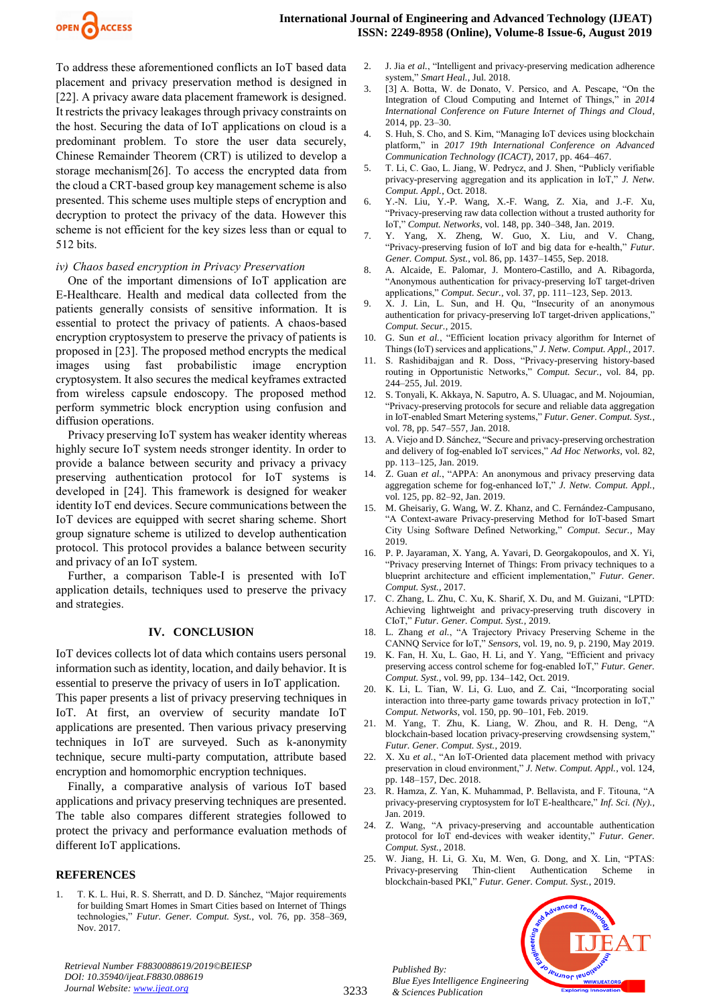

To address these aforementioned conflicts an IoT based data placement and privacy preservation method is designed in [22]. A privacy aware data placement framework is designed. It restricts the privacy leakages through privacy constraints on the host. Securing the data of IoT applications on cloud is a predominant problem. To store the user data securely, Chinese Remainder Theorem (CRT) is utilized to develop a storage mechanism[26]. To access the encrypted data from the cloud a CRT-based group key management scheme is also presented. This scheme uses multiple steps of encryption and decryption to protect the privacy of the data. However this scheme is not efficient for the key sizes less than or equal to 512 bits.

## *iv) Chaos based encryption in Privacy Preservation*

One of the important dimensions of IoT application are E-Healthcare. Health and medical data collected from the patients generally consists of sensitive information. It is essential to protect the privacy of patients. A chaos-based encryption cryptosystem to preserve the privacy of patients is proposed in [23]. The proposed method encrypts the medical images using fast probabilistic image encryption cryptosystem. It also secures the medical keyframes extracted from wireless capsule endoscopy. The proposed method perform symmetric block encryption using confusion and diffusion operations.

Privacy preserving IoT system has weaker identity whereas highly secure IoT system needs stronger identity. In order to provide a balance between security and privacy a privacy preserving authentication protocol for IoT systems is developed in [24]. This framework is designed for weaker identity IoT end devices. Secure communications between the IoT devices are equipped with secret sharing scheme. Short group signature scheme is utilized to develop authentication protocol. This protocol provides a balance between security and privacy of an IoT system.

Further, a comparison Table-I is presented with IoT application details, techniques used to preserve the privacy and strategies.

## **IV. CONCLUSION**

IoT devices collects lot of data which contains users personal information such as identity, location, and daily behavior. It is essential to preserve the privacy of users in IoT application.

This paper presents a list of privacy preserving techniques in IoT. At first, an overview of security mandate IoT applications are presented. Then various privacy preserving techniques in IoT are surveyed. Such as k-anonymity technique, secure multi-party computation, attribute based encryption and homomorphic encryption techniques.

Finally, a comparative analysis of various IoT based applications and privacy preserving techniques are presented. The table also compares different strategies followed to protect the privacy and performance evaluation methods of different IoT applications.

# **REFERENCES**

1. T. K. L. Hui, R. S. Sherratt, and D. D. Sánchez, "Major requirements for building Smart Homes in Smart Cities based on Internet of Things technologies," *Futur. Gener. Comput. Syst.*, vol. 76, pp. 358–369, Nov. 2017.

*Retrieval Number F8830088619/2019©BEIESP DOI: 10.35940/ijeat.F8830.088619 Journal Website: www.ijeat.org*

- 2. J. Jia *et al.*, "Intelligent and privacy-preserving medication adherence system," *Smart Heal.*, Jul. 2018.
- 3. [3] A. Botta, W. de Donato, V. Persico, and A. Pescape, "On the Integration of Cloud Computing and Internet of Things," in *2014 International Conference on Future Internet of Things and Cloud*, 2014, pp. 23–30.
- 4. S. Huh, S. Cho, and S. Kim, "Managing IoT devices using blockchain platform," in *2017 19th International Conference on Advanced Communication Technology (ICACT)*, 2017, pp. 464–467.
- 5. T. Li, C. Gao, L. Jiang, W. Pedrycz, and J. Shen, "Publicly verifiable privacy-preserving aggregation and its application in IoT," *J. Netw. Comput. Appl.*, Oct. 2018.
- 6. Y.-N. Liu, Y.-P. Wang, X.-F. Wang, Z. Xia, and J.-F. Xu, "Privacy-preserving raw data collection without a trusted authority for IoT," *Comput. Networks*, vol. 148, pp. 340–348, Jan. 2019.
- 7. Y. Yang, X. Zheng, W. Guo, X. Liu, and V. Chang, "Privacy-preserving fusion of IoT and big data for e-health," *Futur. Gener. Comput. Syst.*, vol. 86, pp. 1437–1455, Sep. 2018.
- 8. A. Alcaide, E. Palomar, J. Montero-Castillo, and A. Ribagorda, "Anonymous authentication for privacy-preserving IoT target-driven applications," *Comput. Secur.*, vol. 37, pp. 111–123, Sep. 2013.
- 9. X. J. Lin, L. Sun, and H. Qu, "Insecurity of an anonymous authentication for privacy-preserving IoT target-driven applications," *Comput. Secur.*, 2015.
- 10. G. Sun *et al.*, "Efficient location privacy algorithm for Internet of Things (IoT) services and applications," *J. Netw. Comput. Appl.*, 2017.
- 11. S. Rashidibajgan and R. Doss, "Privacy-preserving history-based routing in Opportunistic Networks," *Comput. Secur.*, vol. 84, pp. 244–255, Jul. 2019.
- 12. S. Tonyali, K. Akkaya, N. Saputro, A. S. Uluagac, and M. Nojoumian, "Privacy-preserving protocols for secure and reliable data aggregation in IoT-enabled Smart Metering systems," *Futur. Gener. Comput. Syst.*, vol. 78, pp. 547–557, Jan. 2018.
- 13. A. Viejo and D. Sánchez, "Secure and privacy-preserving orchestration and delivery of fog-enabled IoT services," *Ad Hoc Networks*, vol. 82, pp. 113–125, Jan. 2019.
- 14. Z. Guan *et al.*, "APPA: An anonymous and privacy preserving data aggregation scheme for fog-enhanced IoT," *J. Netw. Comput. Appl.*, vol. 125, pp. 82–92, Jan. 2019.
- 15. M. Gheisariy, G. Wang, W. Z. Khanz, and C. Fernández-Campusano, "A Context-aware Privacy-preserving Method for IoT-based Smart City Using Software Defined Networking," *Comput. Secur.*, May 2019.
- 16. P. P. Jayaraman, X. Yang, A. Yavari, D. Georgakopoulos, and X. Yi, "Privacy preserving Internet of Things: From privacy techniques to a blueprint architecture and efficient implementation," *Futur. Gener. Comput. Syst.*, 2017.
- 17. C. Zhang, L. Zhu, C. Xu, K. Sharif, X. Du, and M. Guizani, "LPTD: Achieving lightweight and privacy-preserving truth discovery in CIoT," *Futur. Gener. Comput. Syst.*, 2019.
- 18. L. Zhang *et al.*, "A Trajectory Privacy Preserving Scheme in the CANNQ Service for IoT," *Sensors*, vol. 19, no. 9, p. 2190, May 2019.
- 19. K. Fan, H. Xu, L. Gao, H. Li, and Y. Yang, "Efficient and privacy preserving access control scheme for fog-enabled IoT," *Futur. Gener. Comput. Syst.*, vol. 99, pp. 134–142, Oct. 2019.
- 20. K. Li, L. Tian, W. Li, G. Luo, and Z. Cai, "Incorporating social interaction into three-party game towards privacy protection in IoT," *Comput. Networks*, vol. 150, pp. 90–101, Feb. 2019.
- 21. M. Yang, T. Zhu, K. Liang, W. Zhou, and R. H. Deng, "A blockchain-based location privacy-preserving crowdsensing system," *Futur. Gener. Comput. Syst.*, 2019.
- 22. X. Xu *et al.*, "An IoT-Oriented data placement method with privacy preservation in cloud environment," *J. Netw. Comput. Appl.*, vol. 124, pp. 148–157, Dec. 2018.
- 23. R. Hamza, Z. Yan, K. Muhammad, P. Bellavista, and F. Titouna, "A privacy-preserving cryptosystem for IoT E-healthcare," *Inf. Sci. (Ny).*, Jan. 2019.
- 24. Z. Wang, "A privacy-preserving and accountable authentication protocol for IoT end-devices with weaker identity," *Futur. Gener. Comput. Syst.*, 2018.
- 25. W. Jiang, H. Li, G. Xu, M. Wen, G. Dong, and X. Lin, "PTAS: Privacy-preserving Thin-client Authentication Scheme in blockchain-based PKI," *Futur. Gener. Comput. Syst.*, 2019.



*Published By:*

*& Sciences Publication*